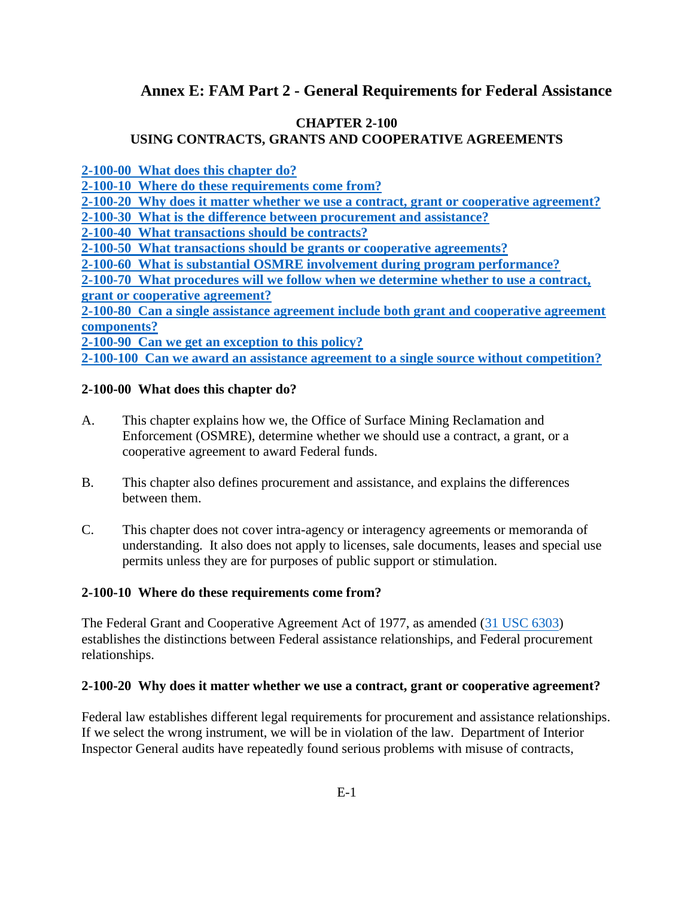# **Annex E: FAM Part 2 - General Requirements for Federal Assistance**

### **CHAPTER 2-100 USING CONTRACTS, GRANTS AND COOPERATIVE AGREEMENTS**

**[2-100-00 What does this chapter do?](#page-0-0)**

**[2-100-10 Where do these requirements come](#page-0-1) from?**

**[2-100-20 Why does it matter whether we use a contract, grant or cooperative agreement?](#page-0-2)**

**[2-100-30 What is the difference between procurement and assistance?](#page-1-0)**

**[2-100-40 What transactions should be contracts?](#page-1-1)**

**[2-100-50 What transactions should be grants or cooperative agreements?](#page-2-0)**

**2-100-60 What [is substantial OSMRE involvement during program performance?](#page-2-1)**

**[2-100-70 What procedures will we follow when we determine whether to use a contract,](#page-4-0) [grant or cooperative agreement?](#page-4-0)**

**[2-100-80 Can a single assistance agreement include both grant and cooperative agreement](#page-4-1) [components?](#page-4-1)**

**[2-100-90 Can we get an exception to this policy?](#page-5-0)**

**[2-100-100 Can we award an assistance agreement to a single source without competition?](#page-5-1)**

### <span id="page-0-0"></span>**2-100-00 What does this chapter do?**

- A. This chapter explains how we, the Office of Surface Mining Reclamation and Enforcement (OSMRE), determine whether we should use a contract, a grant, or a cooperative agreement to award Federal funds.
- B. This chapter also defines procurement and assistance, and explains the differences between them.
- C. This chapter does not cover intra-agency or interagency agreements or memoranda of understanding. It also does not apply to licenses, sale documents, leases and special use permits unless they are for purposes of public support or stimulation.

#### <span id="page-0-1"></span>**2-100-10 Where do these requirements come from?**

The Federal Grant and Cooperative Agreement Act of 1977, as amended [\(31 USC 6303\)](http://uscode.house.gov/browse/prelim@title31/subtitle5/chapter63&edition=prelim) establishes the distinctions between Federal assistance relationships, and Federal procurement relationships.

#### <span id="page-0-2"></span>**2-100-20 Why does it matter whether we use a contract, grant or cooperative agreement?**

Federal law establishes different legal requirements for procurement and assistance relationships. If we select the wrong instrument, we will be in violation of the law. Department of Interior Inspector General audits have repeatedly found serious problems with misuse of contracts,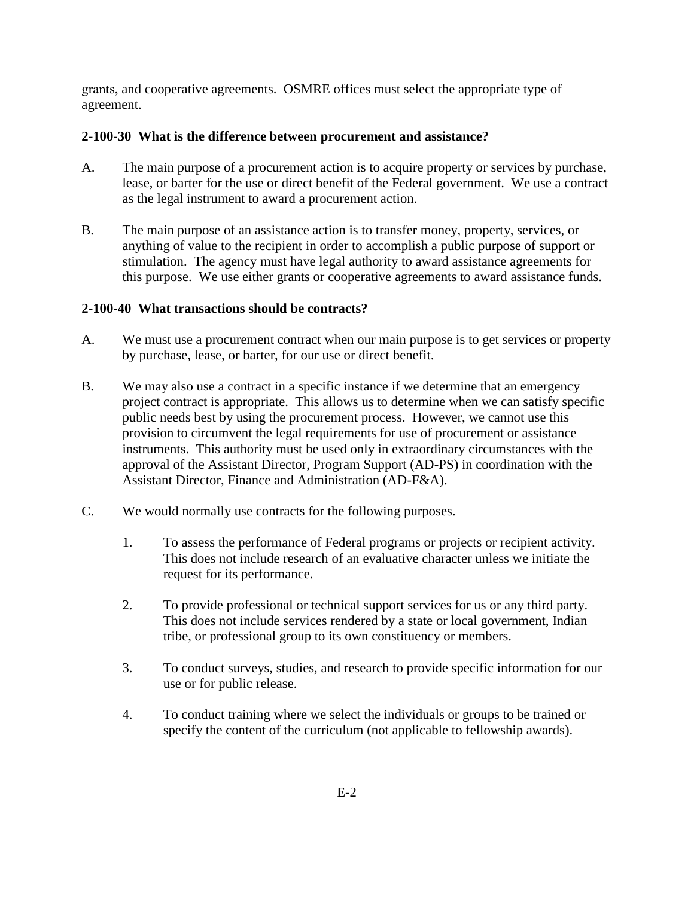grants, and cooperative agreements. OSMRE offices must select the appropriate type of agreement.

## <span id="page-1-0"></span>**2-100-30 What is the difference between procurement and assistance?**

- A. The main purpose of a procurement action is to acquire property or services by purchase, lease, or barter for the use or direct benefit of the Federal government. We use a contract as the legal instrument to award a procurement action.
- B. The main purpose of an assistance action is to transfer money, property, services, or anything of value to the recipient in order to accomplish a public purpose of support or stimulation.The agency must have legal authority to award assistance agreements for this purpose. We use either grants or cooperative agreements to award assistance funds.

## <span id="page-1-1"></span>**2-100-40 What transactions should be contracts?**

- A. We must use a procurement contract when our main purpose is to get services or property by purchase, lease, or barter, for our use or direct benefit.
- B. We may also use a contract in a specific instance if we determine that an emergency project contract is appropriate. This allows us to determine when we can satisfy specific public needs best by using the procurement process. However, we cannot use this provision to circumvent the legal requirements for use of procurement or assistance instruments. This authority must be used only in extraordinary circumstances with the approval of the Assistant Director, Program Support (AD-PS) in coordination with the Assistant Director, Finance and Administration (AD-F&A).
- C. We would normally use contracts for the following purposes.
	- 1. To assess the performance of Federal programs or projects or recipient activity. This does not include research of an evaluative character unless we initiate the request for its performance.
	- 2. To provide professional or technical support services for us or any third party. This does not include services rendered by a state or local government, Indian tribe, or professional group to its own constituency or members.
	- 3. To conduct surveys, studies, and research to provide specific information for our use or for public release.
	- 4. To conduct training where we select the individuals or groups to be trained or specify the content of the curriculum (not applicable to fellowship awards).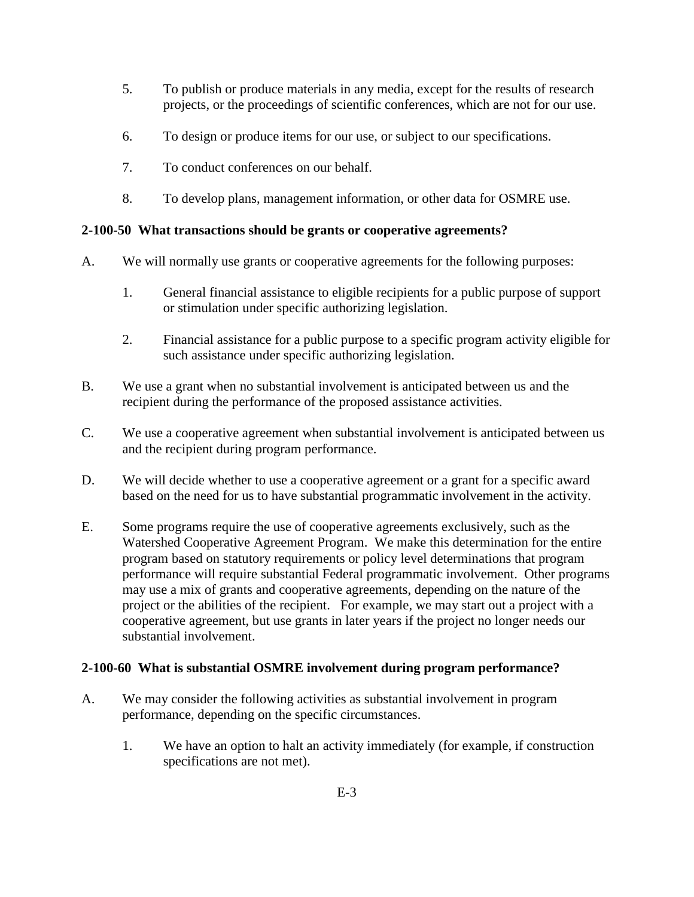- 5. To publish or produce materials in any media, except for the results of research projects, or the proceedings of scientific conferences, which are not for our use.
- 6. To design or produce items for our use, or subject to our specifications.
- 7. To conduct conferences on our behalf.
- 8. To develop plans, management information, or other data for OSMRE use.

## <span id="page-2-0"></span>**2-100-50 What transactions should be grants or cooperative agreements?**

- A. We will normally use grants or cooperative agreements for the following purposes:
	- 1. General financial assistance to eligible recipients for a public purpose of support or stimulation under specific authorizing legislation.
	- 2. Financial assistance for a public purpose to a specific program activity eligible for such assistance under specific authorizing legislation.
- B. We use a grant when no substantial involvement is anticipated between us and the recipient during the performance of the proposed assistance activities.
- C. We use a cooperative agreement when substantial involvement is anticipated between us and the recipient during program performance.
- D. We will decide whether to use a cooperative agreement or a grant for a specific award based on the need for us to have substantial programmatic involvement in the activity.
- E. Some programs require the use of cooperative agreements exclusively, such as the Watershed Cooperative Agreement Program. We make this determination for the entire program based on statutory requirements or policy level determinations that program performance will require substantial Federal programmatic involvement. Other programs may use a mix of grants and cooperative agreements, depending on the nature of the project or the abilities of the recipient. For example, we may start out a project with a cooperative agreement, but use grants in later years if the project no longer needs our substantial involvement.

## <span id="page-2-1"></span>**2-100-60 What is substantial OSMRE involvement during program performance?**

- A. We may consider the following activities as substantial involvement in program performance, depending on the specific circumstances.
	- 1. We have an option to halt an activity immediately (for example, if construction specifications are not met).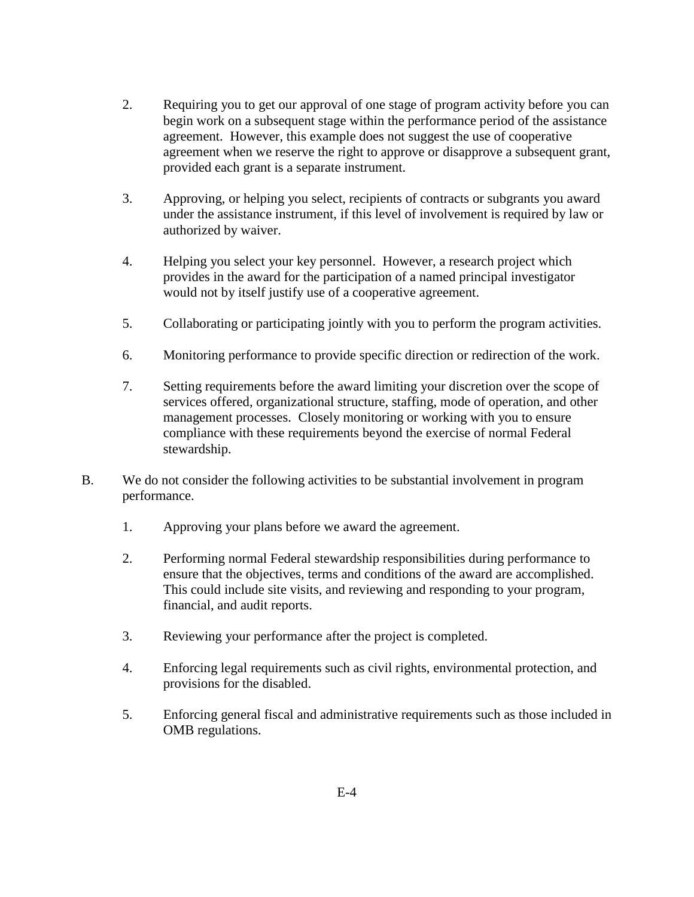- 2. Requiring you to get our approval of one stage of program activity before you can begin work on a subsequent stage within the performance period of the assistance agreement. However, this example does not suggest the use of cooperative agreement when we reserve the right to approve or disapprove a subsequent grant, provided each grant is a separate instrument.
- 3. Approving, or helping you select, recipients of contracts or subgrants you award under the assistance instrument, if this level of involvement is required by law or authorized by waiver.
- 4. Helping you select your key personnel. However, a research project which provides in the award for the participation of a named principal investigator would not by itself justify use of a cooperative agreement.
- 5. Collaborating or participating jointly with you to perform the program activities.
- 6. Monitoring performance to provide specific direction or redirection of the work.
- 7. Setting requirements before the award limiting your discretion over the scope of services offered, organizational structure, staffing, mode of operation, and other management processes. Closely monitoring or working with you to ensure compliance with these requirements beyond the exercise of normal Federal stewardship.
- B. We do not consider the following activities to be substantial involvement in program performance.
	- 1. Approving your plans before we award the agreement.
	- 2. Performing normal Federal stewardship responsibilities during performance to ensure that the objectives, terms and conditions of the award are accomplished. This could include site visits, and reviewing and responding to your program, financial, and audit reports.
	- 3. Reviewing your performance after the project is completed.
	- 4. Enforcing legal requirements such as civil rights, environmental protection, and provisions for the disabled.
	- 5. Enforcing general fiscal and administrative requirements such as those included in OMB regulations.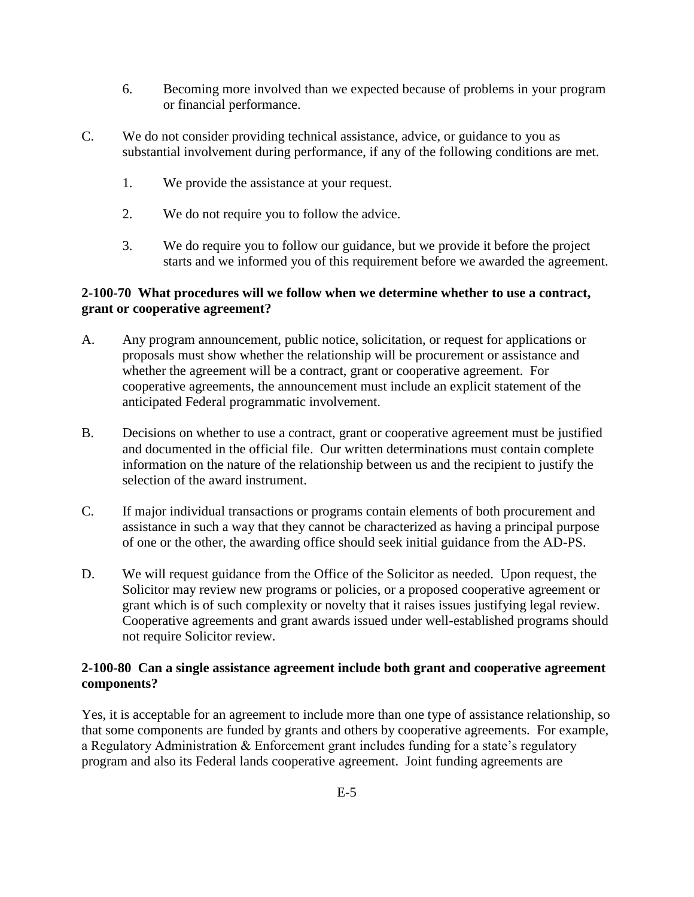- 6. Becoming more involved than we expected because of problems in your program or financial performance.
- C. We do not consider providing technical assistance, advice, or guidance to you as substantial involvement during performance, if any of the following conditions are met.
	- 1. We provide the assistance at your request.
	- 2. We do not require you to follow the advice.
	- 3. We do require you to follow our guidance, but we provide it before the project starts and we informed you of this requirement before we awarded the agreement.

## <span id="page-4-0"></span>**2-100-70 What procedures will we follow when we determine whether to use a contract, grant or cooperative agreement?**

- A. Any program announcement, public notice, solicitation, or request for applications or proposals must show whether the relationship will be procurement or assistance and whether the agreement will be a contract, grant or cooperative agreement. For cooperative agreements, the announcement must include an explicit statement of the anticipated Federal programmatic involvement.
- B. Decisions on whether to use a contract, grant or cooperative agreement must be justified and documented in the official file. Our written determinations must contain complete information on the nature of the relationship between us and the recipient to justify the selection of the award instrument.
- C. If major individual transactions or programs contain elements of both procurement and assistance in such a way that they cannot be characterized as having a principal purpose of one or the other, the awarding office should seek initial guidance from the AD-PS.
- D. We will request guidance from the Office of the Solicitor as needed. Upon request, the Solicitor may review new programs or policies, or a proposed cooperative agreement or grant which is of such complexity or novelty that it raises issues justifying legal review. Cooperative agreements and grant awards issued under well-established programs should not require Solicitor review.

## <span id="page-4-1"></span>**2-100-80 Can a single assistance agreement include both grant and cooperative agreement components?**

Yes, it is acceptable for an agreement to include more than one type of assistance relationship, so that some components are funded by grants and others by cooperative agreements. For example, a Regulatory Administration & Enforcement grant includes funding for a state's regulatory program and also its Federal lands cooperative agreement. Joint funding agreements are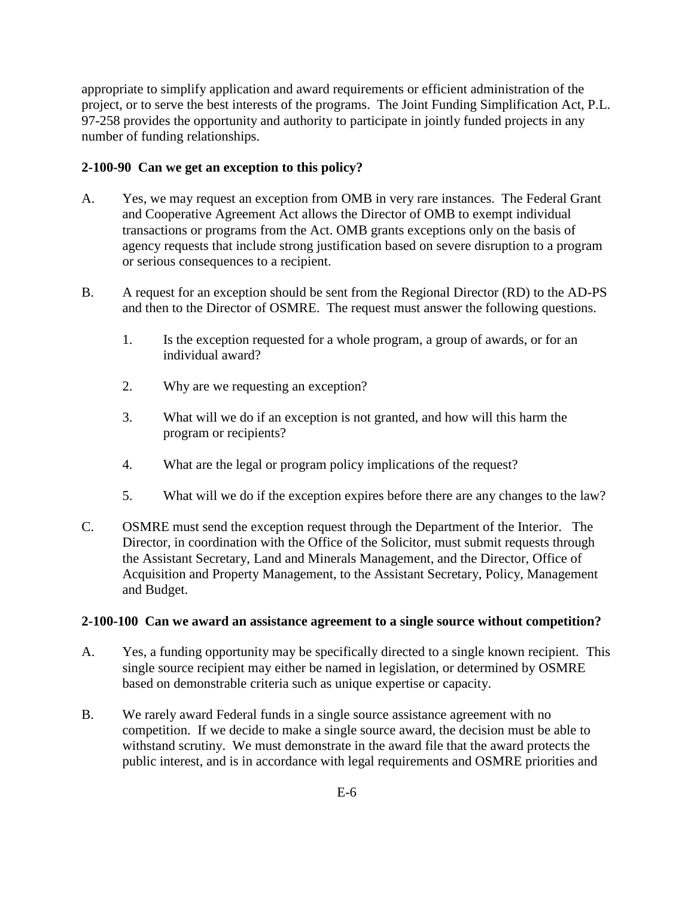appropriate to simplify application and award requirements or efficient administration of the project, or to serve the best interests of the programs. The Joint Funding Simplification Act, P.L. 97-258 provides the opportunity and authority to participate in jointly funded projects in any number of funding relationships.

## <span id="page-5-0"></span>**2-100-90 Can we get an exception to this policy?**

- A. Yes, we may request an exception from OMB in very rare instances. The Federal Grant and Cooperative Agreement Act allows the Director of OMB to exempt individual transactions or programs from the Act. OMB grants exceptions only on the basis of agency requests that include strong justification based on severe disruption to a program or serious consequences to a recipient.
- B. A request for an exception should be sent from the Regional Director (RD) to the AD-PS and then to the Director of OSMRE. The request must answer the following questions.
	- 1. Is the exception requested for a whole program, a group of awards, or for an individual award?
	- 2. Why are we requesting an exception?
	- 3. What will we do if an exception is not granted, and how will this harm the program or recipients?
	- 4. What are the legal or program policy implications of the request?
	- 5. What will we do if the exception expires before there are any changes to the law?
- C. OSMRE must send the exception request through the Department of the Interior. The Director, in coordination with the Office of the Solicitor, must submit requests through the Assistant Secretary, Land and Minerals Management, and the Director, Office of Acquisition and Property Management, to the Assistant Secretary, Policy, Management and Budget.

### <span id="page-5-1"></span>**2-100-100 Can we award an assistance agreement to a single source without competition?**

- A. Yes, a funding opportunity may be specifically directed to a single known recipient. This single source recipient may either be named in legislation, or determined by OSMRE based on demonstrable criteria such as unique expertise or capacity.
- B. We rarely award Federal funds in a single source assistance agreement with no competition. If we decide to make a single source award, the decision must be able to withstand scrutiny. We must demonstrate in the award file that the award protects the public interest, and is in accordance with legal requirements and OSMRE priorities and